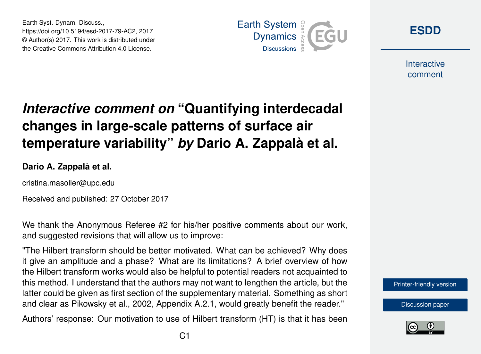Earth Syst. Dynam. Discuss., https://doi.org/10.5194/esd-2017-79-AC2, 2017 © Author(s) 2017. This work is distributed under the Creative Commons Attribution 4.0 License.



**[ESDD](https://www.earth-syst-dynam-discuss.net/)**

**Interactive** comment

## *Interactive comment on* **"Quantifying interdecadal changes in large-scale patterns of surface air temperature variability"** *by* **Dario A. Zappalà et al.**

**Dario A. Zappalà et al.**

cristina.masoller@upc.edu

Received and published: 27 October 2017

We thank the Anonymous Referee #2 for his/her positive comments about our work, and suggested revisions that will allow us to improve:

"The Hilbert transform should be better motivated. What can be achieved? Why does it give an amplitude and a phase? What are its limitations? A brief overview of how the Hilbert transform works would also be helpful to potential readers not acquainted to this method. I understand that the authors may not want to lengthen the article, but the latter could be given as first section of the supplementary material. Something as short and clear as Pikowsky et al., 2002, Appendix A.2.1, would greatly benefit the reader."

Authors' response: Our motivation to use of Hilbert transform (HT) is that it has been

[Printer-friendly version](https://www.earth-syst-dynam-discuss.net/esd-2017-79/esd-2017-79-AC2-print.pdf)

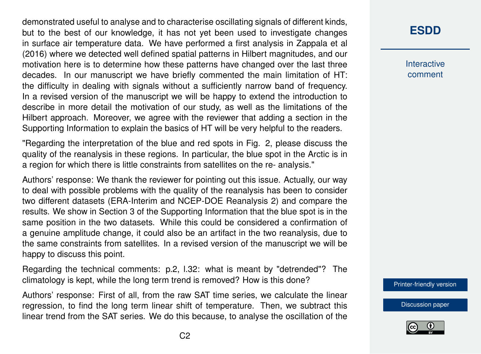demonstrated useful to analyse and to characterise oscillating signals of different kinds, but to the best of our knowledge, it has not yet been used to investigate changes in surface air temperature data. We have performed a first analysis in Zappala et al (2016) where we detected well defined spatial patterns in Hilbert magnitudes, and our motivation here is to determine how these patterns have changed over the last three decades. In our manuscript we have briefly commented the main limitation of HT: the difficulty in dealing with signals without a sufficiently narrow band of frequency. In a revised version of the manuscript we will be happy to extend the introduction to describe in more detail the motivation of our study, as well as the limitations of the Hilbert approach. Moreover, we agree with the reviewer that adding a section in the Supporting Information to explain the basics of HT will be very helpful to the readers.

"Regarding the interpretation of the blue and red spots in Fig. 2, please discuss the quality of the reanalysis in these regions. In particular, the blue spot in the Arctic is in a region for which there is little constraints from satellites on the re- analysis."

Authors' response: We thank the reviewer for pointing out this issue. Actually, our way to deal with possible problems with the quality of the reanalysis has been to consider two different datasets (ERA-Interim and NCEP-DOE Reanalysis 2) and compare the results. We show in Section 3 of the Supporting Information that the blue spot is in the same position in the two datasets. While this could be considered a confirmation of a genuine amplitude change, it could also be an artifact in the two reanalysis, due to the same constraints from satellites. In a revised version of the manuscript we will be happy to discuss this point.

Regarding the technical comments: p.2, l.32: what is meant by "detrended"? The climatology is kept, while the long term trend is removed? How is this done?

Authors' response: First of all, from the raw SAT time series, we calculate the linear regression, to find the long term linear shift of temperature. Then, we subtract this linear trend from the SAT series. We do this because, to analyse the oscillation of the

## **[ESDD](https://www.earth-syst-dynam-discuss.net/)**

**Interactive** comment

[Printer-friendly version](https://www.earth-syst-dynam-discuss.net/esd-2017-79/esd-2017-79-AC2-print.pdf)

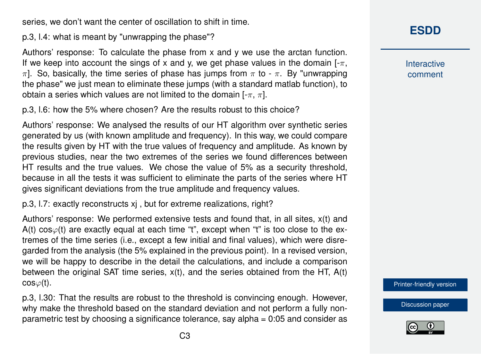series, we don't want the center of oscillation to shift in time.

p.3, l.4: what is meant by "unwrapping the phase"?

Authors' response: To calculate the phase from x and y we use the arctan function. If we keep into account the sings of x and y, we get phase values in the domain  $[-\pi,$  $\pi$ ]. So, basically, the time series of phase has jumps from  $\pi$  to -  $\pi$ . By "unwrapping the phase" we just mean to eliminate these jumps (with a standard matlab function), to obtain a series which values are not limited to the domain  $[-\pi, \pi]$ .

p.3, l.6: how the 5% where chosen? Are the results robust to this choice?

Authors' response: We analysed the results of our HT algorithm over synthetic series generated by us (with known amplitude and frequency). In this way, we could compare the results given by HT with the true values of frequency and amplitude. As known by previous studies, near the two extremes of the series we found differences between HT results and the true values. We chose the value of 5% as a security threshold, because in all the tests it was sufficient to eliminate the parts of the series where HT gives significant deviations from the true amplitude and frequency values.

p.3, l.7: exactly reconstructs xj , but for extreme realizations, right?

Authors' response: We performed extensive tests and found that, in all sites, x(t) and A(t)  $cos\phi(t)$  are exactly equal at each time "t", except when "t" is too close to the extremes of the time series (i.e., except a few initial and final values), which were disregarded from the analysis (the 5% explained in the previous point). In a revised version, we will be happy to describe in the detail the calculations, and include a comparison between the original SAT time series, x(t), and the series obtained from the HT, A(t)  $cos\varphi(t)$ .

p.3, l.30: That the results are robust to the threshold is convincing enough. However, why make the threshold based on the standard deviation and not perform a fully nonparametric test by choosing a significance tolerance, say alpha = 0:05 and consider as **[ESDD](https://www.earth-syst-dynam-discuss.net/)**

**Interactive** comment

[Printer-friendly version](https://www.earth-syst-dynam-discuss.net/esd-2017-79/esd-2017-79-AC2-print.pdf)